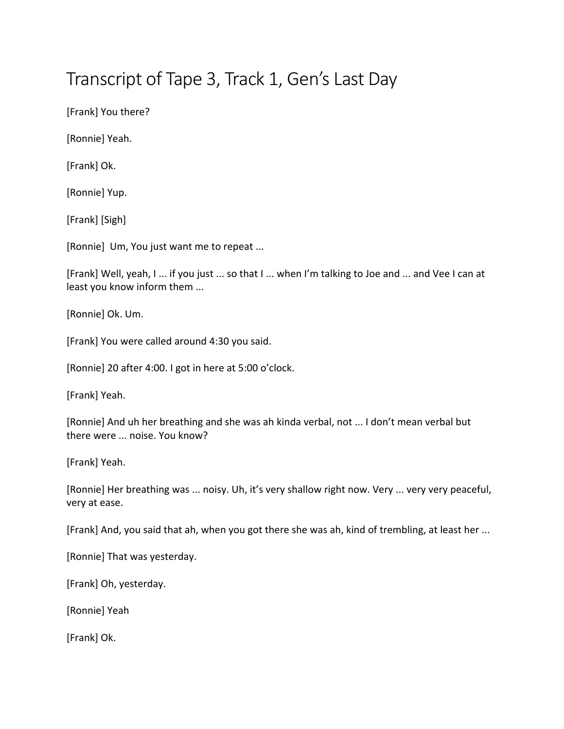## Transcript of Tape 3, Track 1, Gen's Last Day

[Frank] You there?

[Ronnie] Yeah.

[Frank] Ok.

[Ronnie] Yup.

[Frank] [Sigh]

[Ronnie] Um, You just want me to repeat ...

[Frank] Well, yeah, I ... if you just ... so that I ... when I'm talking to Joe and ... and Vee I can at least you know inform them ...

[Ronnie] Ok. Um.

[Frank] You were called around 4:30 you said.

[Ronnie] 20 after 4:00. I got in here at 5:00 o'clock.

[Frank] Yeah.

[Ronnie] And uh her breathing and she was ah kinda verbal, not ... I don't mean verbal but there were ... noise. You know?

[Frank] Yeah.

[Ronnie] Her breathing was ... noisy. Uh, it's very shallow right now. Very ... very very peaceful, very at ease.

[Frank] And, you said that ah, when you got there she was ah, kind of trembling, at least her ...

[Ronnie] That was yesterday.

[Frank] Oh, yesterday.

[Ronnie] Yeah

[Frank] Ok.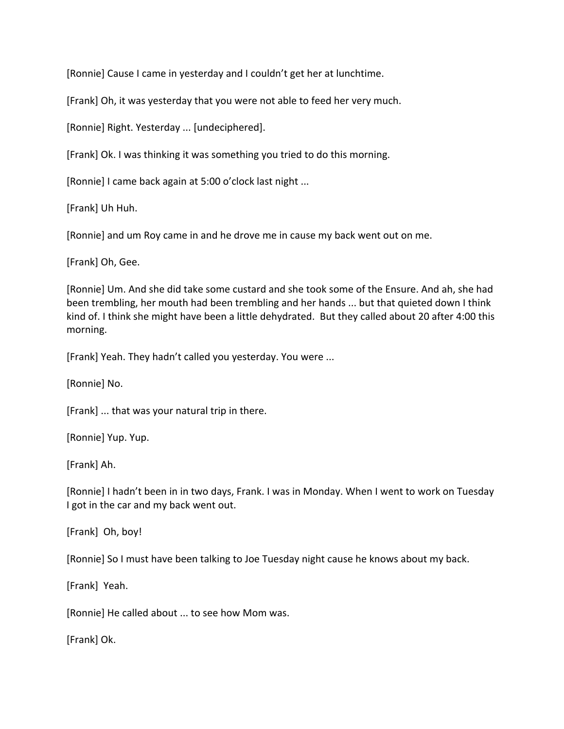[Ronnie] Cause I came in yesterday and I couldn't get her at lunchtime.

[Frank] Oh, it was yesterday that you were not able to feed her very much.

[Ronnie] Right. Yesterday ... [undeciphered].

[Frank] Ok. I was thinking it was something you tried to do this morning.

[Ronnie] I came back again at 5:00 o'clock last night ...

[Frank] Uh Huh.

[Ronnie] and um Roy came in and he drove me in cause my back went out on me.

[Frank] Oh, Gee.

[Ronnie] Um. And she did take some custard and she took some of the Ensure. And ah, she had been trembling, her mouth had been trembling and her hands ... but that quieted down I think kind of. I think she might have been a little dehydrated. But they called about 20 after 4:00 this morning. 

[Frank] Yeah. They hadn't called you yesterday. You were ...

[Ronnie] No.

[Frank]  $\ldots$  that was your natural trip in there.

[Ronnie] Yup. Yup.

[Frank] Ah.

[Ronnie] I hadn't been in in two days, Frank. I was in Monday. When I went to work on Tuesday I got in the car and my back went out.

[Frank] Oh, boy!

[Ronnie] So I must have been talking to Joe Tuesday night cause he knows about my back.

[Frank] Yeah.

[Ronnie] He called about ... to see how Mom was.

[Frank] Ok.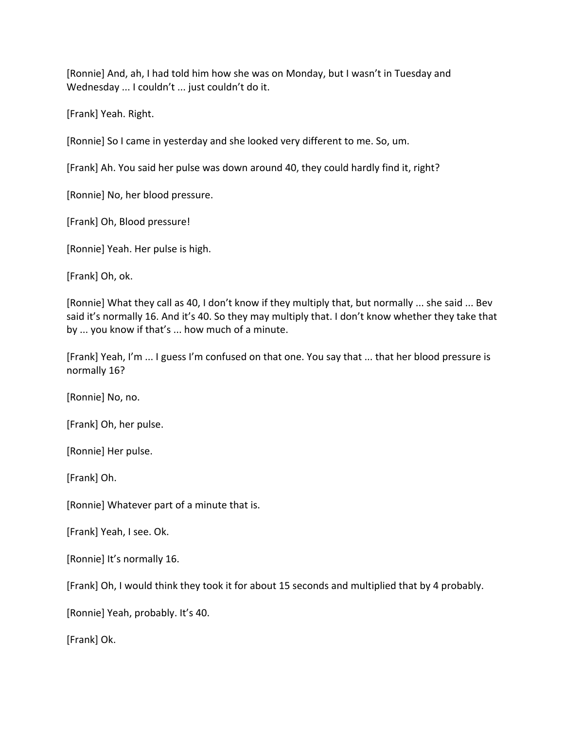[Ronnie] And, ah, I had told him how she was on Monday, but I wasn't in Tuesday and Wednesday ... I couldn't ... just couldn't do it.

[Frank] Yeah. Right.

[Ronnie] So I came in yesterday and she looked very different to me. So, um.

[Frank] Ah. You said her pulse was down around 40, they could hardly find it, right?

[Ronnie] No, her blood pressure.

[Frank] Oh, Blood pressure!

[Ronnie] Yeah. Her pulse is high.

[Frank] Oh, ok.

[Ronnie] What they call as 40, I don't know if they multiply that, but normally ... she said ... Bev said it's normally 16. And it's 40. So they may multiply that. I don't know whether they take that by ... you know if that's ... how much of a minute.

[Frank] Yeah, I'm ... I guess I'm confused on that one. You say that ... that her blood pressure is normally 16?

[Ronnie] No, no.

[Frank] Oh, her pulse.

[Ronnie] Her pulse.

[Frank] Oh.

[Ronnie] Whatever part of a minute that is.

[Frank] Yeah, I see. Ok.

[Ronnie] It's normally 16.

[Frank] Oh, I would think they took it for about 15 seconds and multiplied that by 4 probably.

[Ronnie] Yeah, probably. It's 40.

[Frank] Ok.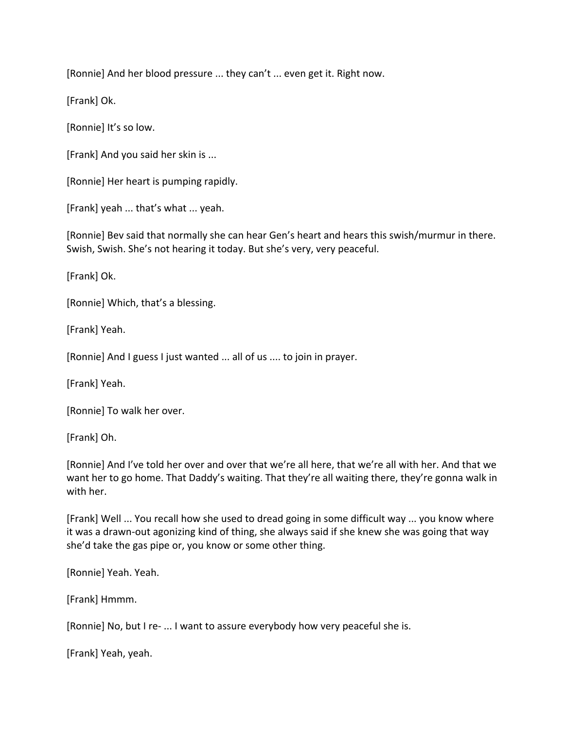[Ronnie] And her blood pressure ... they can't ... even get it. Right now.

[Frank] Ok.

[Ronnie] It's so low.

[Frank] And you said her skin is ...

[Ronnie] Her heart is pumping rapidly.

[Frank] yeah ... that's what ... yeah.

[Ronnie] Bev said that normally she can hear Gen's heart and hears this swish/murmur in there. Swish, Swish. She's not hearing it today. But she's very, very peaceful.

[Frank] Ok.

[Ronnie] Which, that's a blessing.

[Frank] Yeah.

[Ronnie] And I guess I just wanted ... all of us .... to join in prayer.

[Frank] Yeah. 

[Ronnie] To walk her over.

[Frank] Oh.

[Ronnie] And I've told her over and over that we're all here, that we're all with her. And that we want her to go home. That Daddy's waiting. That they're all waiting there, they're gonna walk in with her.

[Frank] Well ... You recall how she used to dread going in some difficult way ... you know where it was a drawn-out agonizing kind of thing, she always said if she knew she was going that way she'd take the gas pipe or, you know or some other thing.

[Ronnie] Yeah. Yeah.

[Frank] Hmmm.

[Ronnie] No, but I re- ... I want to assure everybody how very peaceful she is.

[Frank] Yeah, yeah.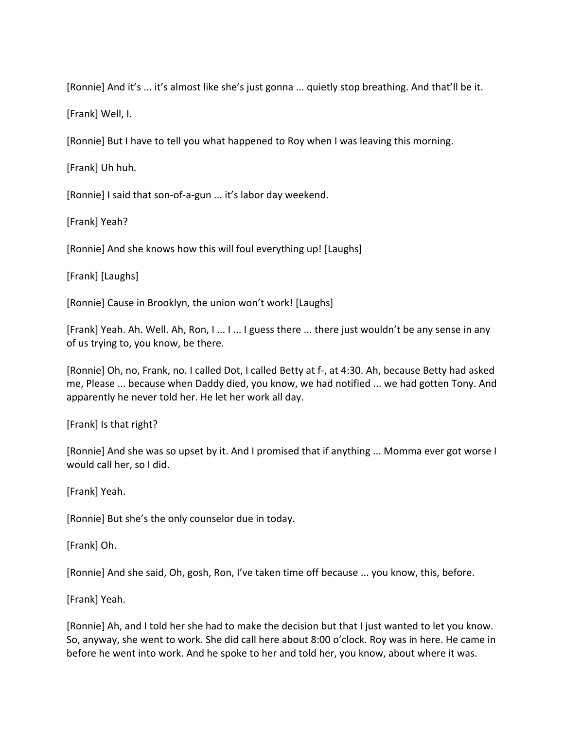[Ronnie] And it's ... it's almost like she's just gonna ... quietly stop breathing. And that'll be it.

[Frank] Well, I.

[Ronnie] But I have to tell you what happened to Roy when I was leaving this morning.

[Frank] Uh huh.

[Ronnie] I said that son-of-a-gun ... it's labor day weekend.

[Frank] Yeah?

[Ronnie] And she knows how this will foul everything up! [Laughs]

[Frank] [Laughs]

[Ronnie] Cause in Brooklyn, the union won't work! [Laughs]

[Frank] Yeah. Ah. Well. Ah, Ron, I ... I ... I guess there ... there just wouldn't be any sense in any of us trying to, you know, be there.

[Ronnie] Oh, no, Frank, no. I called Dot, I called Betty at f-, at 4:30. Ah, because Betty had asked me, Please ... because when Daddy died, you know, we had notified ... we had gotten Tony. And apparently he never told her. He let her work all day.

[Frank] Is that right?

[Ronnie] And she was so upset by it. And I promised that if anything ... Momma ever got worse I would call her, so I did.

[Frank] Yeah.

[Ronnie] But she's the only counselor due in today.

[Frank] Oh.

[Ronnie] And she said, Oh, gosh, Ron, I've taken time off because ... you know, this, before.

[Frank] Yeah.

[Ronnie] Ah, and I told her she had to make the decision but that I just wanted to let you know. So, anyway, she went to work. She did call here about 8:00 o'clock. Roy was in here. He came in before he went into work. And he spoke to her and told her, you know, about where it was.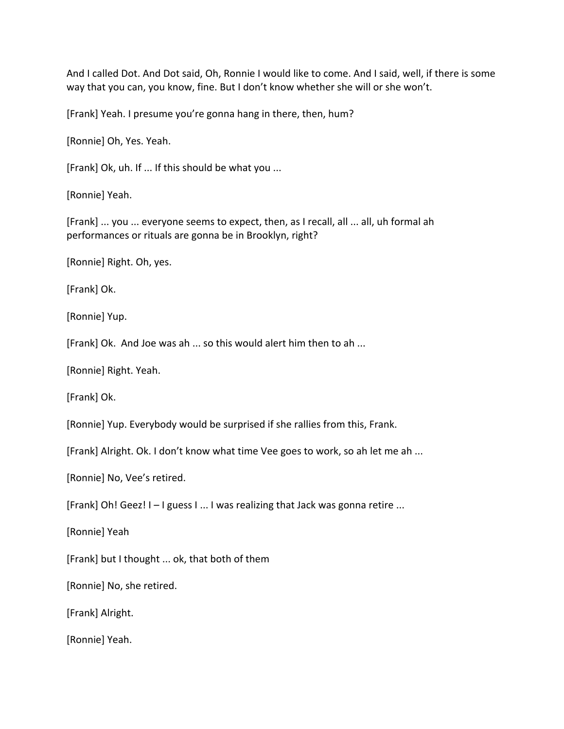And I called Dot. And Dot said, Oh, Ronnie I would like to come. And I said, well, if there is some way that you can, you know, fine. But I don't know whether she will or she won't.

[Frank] Yeah. I presume you're gonna hang in there, then, hum?

[Ronnie] Oh, Yes. Yeah.

[Frank] Ok, uh. If ... If this should be what you ...

[Ronnie] Yeah.

[Frank] ... you ... everyone seems to expect, then, as I recall, all ... all, uh formal ah performances or rituals are gonna be in Brooklyn, right?

[Ronnie] Right. Oh, yes.

[Frank] Ok.

[Ronnie] Yup.

[Frank] Ok. And Joe was ah ... so this would alert him then to ah ...

[Ronnie] Right. Yeah.

[Frank] Ok.

[Ronnie] Yup. Everybody would be surprised if she rallies from this, Frank.

[Frank] Alright. Ok. I don't know what time Vee goes to work, so ah let me ah ...

[Ronnie] No, Vee's retired.

[Frank] Oh! Geez!  $I - I$  guess  $I \ldots I$  was realizing that Jack was gonna retire ...

[Ronnie] Yeah

[Frank] but I thought ... ok, that both of them

[Ronnie] No, she retired.

[Frank] Alright.

[Ronnie] Yeah.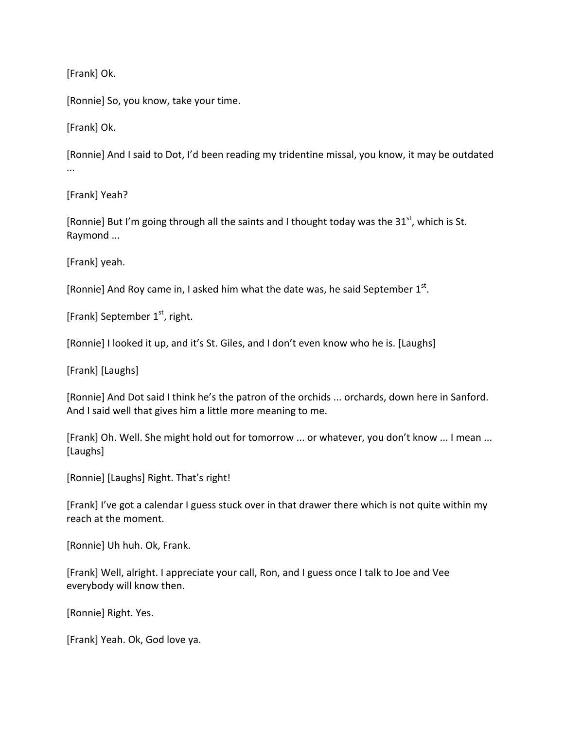[Frank] Ok.

[Ronnie] So, you know, take your time.

[Frank] Ok.

[Ronnie] And I said to Dot, I'd been reading my tridentine missal, you know, it may be outdated ...

[Frank] Yeah?

[Ronnie] But I'm going through all the saints and I thought today was the 31 $^{st}$ , which is St. Raymond ...

[Frank] yeah.

[Ronnie] And Roy came in, I asked him what the date was, he said September  $1^{st}$ .

[Frank] September  $1<sup>st</sup>$ , right.

[Ronnie] I looked it up, and it's St. Giles, and I don't even know who he is. [Laughs]

[Frank] [Laughs]

[Ronnie] And Dot said I think he's the patron of the orchids ... orchards, down here in Sanford. And I said well that gives him a little more meaning to me.

[Frank] Oh. Well. She might hold out for tomorrow ... or whatever, you don't know ... I mean ... [Laughs]

[Ronnie] [Laughs] Right. That's right!

[Frank] I've got a calendar I guess stuck over in that drawer there which is not quite within my reach at the moment.

[Ronnie] Uh huh. Ok, Frank.

[Frank] Well, alright. I appreciate your call, Ron, and I guess once I talk to Joe and Vee everybody will know then.

[Ronnie] Right. Yes.

[Frank] Yeah. Ok, God love ya.